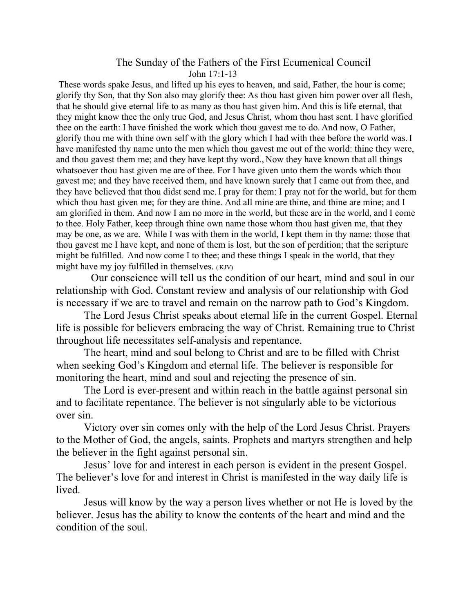## The Sunday of the Fathers of the First Ecumenical Council John 17:1-13

These words spake Jesus, and lifted up his eyes to heaven, and said, Father, the hour is come; glorify thy Son, that thy Son also may glorify thee: As thou hast given him power over all flesh, that he should give eternal life to as many as thou hast given him. And this is life eternal, that they might know thee the only true God, and Jesus Christ, whom thou hast sent. I have glorified thee on the earth: I have finished the work which thou gavest me to do. And now, O Father, glorify thou me with thine own self with the glory which I had with thee before the world was. I have manifested thy name unto the men which thou gavest me out of the world: thine they were, and thou gavest them me; and they have kept thy word., Now they have known that all things whatsoever thou hast given me are of thee. For I have given unto them the words which thou gavest me; and they have received them, and have known surely that I came out from thee, and they have believed that thou didst send me. I pray for them: I pray not for the world, but for them which thou hast given me; for they are thine. And all mine are thine, and thine are mine; and I am glorified in them. And now I am no more in the world, but these are in the world, and I come to thee. Holy Father, keep through thine own name those whom thou hast given me, that they may be one, as we are. While I was with them in the world, I kept them in thy name: those that thou gavest me I have kept, and none of them is lost, but the son of perdition; that the scripture might be fulfilled. And now come I to thee; and these things I speak in the world, that they might have my joy fulfilled in themselves. (KJV)

 Our conscience will tell us the condition of our heart, mind and soul in our relationship with God. Constant review and analysis of our relationship with God is necessary if we are to travel and remain on the narrow path to God's Kingdom.

The Lord Jesus Christ speaks about eternal life in the current Gospel. Eternal life is possible for believers embracing the way of Christ. Remaining true to Christ throughout life necessitates self-analysis and repentance.

The heart, mind and soul belong to Christ and are to be filled with Christ when seeking God's Kingdom and eternal life. The believer is responsible for monitoring the heart, mind and soul and rejecting the presence of sin.

The Lord is ever-present and within reach in the battle against personal sin and to facilitate repentance. The believer is not singularly able to be victorious over sin.

Victory over sin comes only with the help of the Lord Jesus Christ. Prayers to the Mother of God, the angels, saints. Prophets and martyrs strengthen and help the believer in the fight against personal sin.

Jesus' love for and interest in each person is evident in the present Gospel. The believer's love for and interest in Christ is manifested in the way daily life is lived.

Jesus will know by the way a person lives whether or not He is loved by the believer. Jesus has the ability to know the contents of the heart and mind and the condition of the soul.